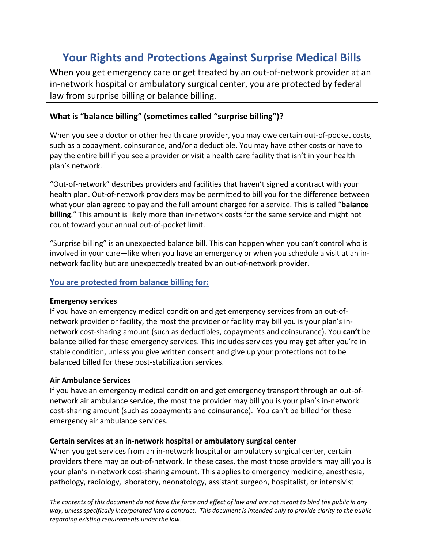# **Your Rights and Protections Against Surprise Medical Bills**

When you get emergency care or get treated by an out-of-network provider at an in-network hospital or ambulatory surgical center, you are protected by federal law from surprise billing or balance billing.

## **What is "balance billing" (sometimes called "surprise billing")?**

When you see a doctor or other health care provider, you may owe certain out-of-pocket costs, such as a copayment, coinsurance, and/or a deductible. You may have other costs or have to pay the entire bill if you see a provider or visit a health care facility that isn't in your health plan's network.

"Out-of-network" describes providers and facilities that haven't signed a contract with your health plan. Out-of-network providers may be permitted to bill you for the difference between what your plan agreed to pay and the full amount charged for a service. This is called "**balance billing**." This amount is likely more than in-network costs for the same service and might not count toward your annual out-of-pocket limit.

"Surprise billing" is an unexpected balance bill. This can happen when you can't control who is involved in your care—like when you have an emergency or when you schedule a visit at an innetwork facility but are unexpectedly treated by an out-of-network provider.

## **You are protected from balance billing for:**

#### **Emergency services**

If you have an emergency medical condition and get emergency services from an out-ofnetwork provider or facility, the most the provider or facility may bill you is your plan's innetwork cost-sharing amount (such as deductibles, copayments and coinsurance). You **can't** be balance billed for these emergency services. This includes services you may get after you're in stable condition, unless you give written consent and give up your protections not to be balanced billed for these post-stabilization services.

#### **Air Ambulance Services**

If you have an emergency medical condition and get emergency transport through an out-ofnetwork air ambulance service, the most the provider may bill you is your plan's in-network cost-sharing amount (such as copayments and coinsurance). You can't be billed for these emergency air ambulance services.

#### **Certain services at an in-network hospital or ambulatory surgical center**

When you get services from an in-network hospital or ambulatory surgical center, certain providers there may be out-of-network. In these cases, the most those providers may bill you is your plan's in-network cost-sharing amount. This applies to emergency medicine, anesthesia, pathology, radiology, laboratory, neonatology, assistant surgeon, hospitalist, or intensivist

*The contents of this document do not have the force and effect of law and are not meant to bind the public in any way, unless specifically incorporated into a contract. This document is intended only to provide clarity to the public regarding existing requirements under the law.*